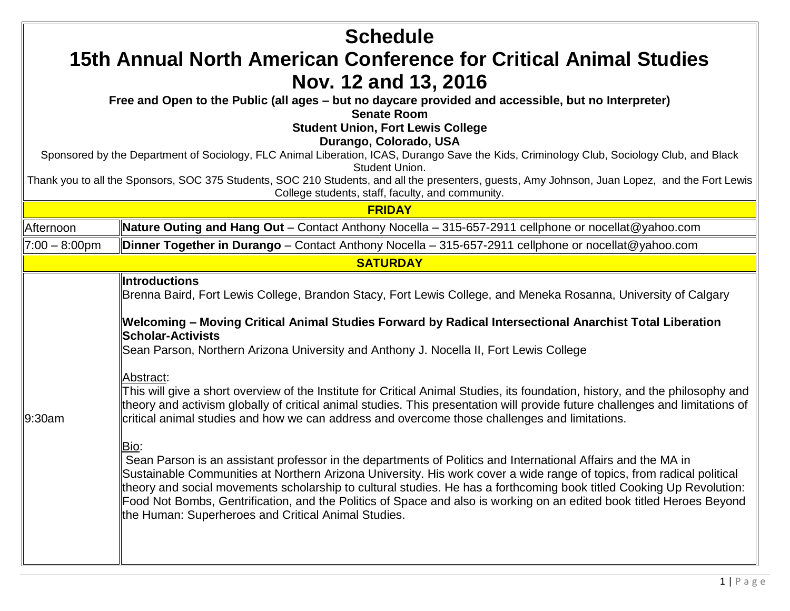| <b>Schedule</b>  |                                                                                                                                                                                                                                                                                                                                                                                                                                                                                                                                                      |  |
|------------------|------------------------------------------------------------------------------------------------------------------------------------------------------------------------------------------------------------------------------------------------------------------------------------------------------------------------------------------------------------------------------------------------------------------------------------------------------------------------------------------------------------------------------------------------------|--|
|                  | 15th Annual North American Conference for Critical Animal Studies                                                                                                                                                                                                                                                                                                                                                                                                                                                                                    |  |
|                  | Nov. 12 and 13, 2016                                                                                                                                                                                                                                                                                                                                                                                                                                                                                                                                 |  |
|                  | Free and Open to the Public (all ages – but no daycare provided and accessible, but no Interpreter)<br><b>Senate Room</b>                                                                                                                                                                                                                                                                                                                                                                                                                            |  |
|                  | <b>Student Union, Fort Lewis College</b>                                                                                                                                                                                                                                                                                                                                                                                                                                                                                                             |  |
|                  | Durango, Colorado, USA                                                                                                                                                                                                                                                                                                                                                                                                                                                                                                                               |  |
|                  | Sponsored by the Department of Sociology, FLC Animal Liberation, ICAS, Durango Save the Kids, Criminology Club, Sociology Club, and Black<br>Student Union.                                                                                                                                                                                                                                                                                                                                                                                          |  |
|                  | Thank you to all the Sponsors, SOC 375 Students, SOC 210 Students, and all the presenters, guests, Amy Johnson, Juan Lopez, and the Fort Lewis<br>College students, staff, faculty, and community.                                                                                                                                                                                                                                                                                                                                                   |  |
|                  | <b>FRIDAY</b>                                                                                                                                                                                                                                                                                                                                                                                                                                                                                                                                        |  |
| Afternoon        | Nature Outing and Hang Out – Contact Anthony Nocella – 315-657-2911 cellphone or nocellat@yahoo.com                                                                                                                                                                                                                                                                                                                                                                                                                                                  |  |
| $7:00 - 8:00$ pm | Dinner Together in Durango - Contact Anthony Nocella - 315-657-2911 cellphone or nocellat@yahoo.com                                                                                                                                                                                                                                                                                                                                                                                                                                                  |  |
|                  | <b>SATURDAY</b>                                                                                                                                                                                                                                                                                                                                                                                                                                                                                                                                      |  |
|                  | <b>Introductions</b><br>Brenna Baird, Fort Lewis College, Brandon Stacy, Fort Lewis College, and Meneka Rosanna, University of Calgary                                                                                                                                                                                                                                                                                                                                                                                                               |  |
|                  | Welcoming – Moving Critical Animal Studies Forward by Radical Intersectional Anarchist Total Liberation<br><b>Scholar-Activists</b>                                                                                                                                                                                                                                                                                                                                                                                                                  |  |
|                  | Sean Parson, Northern Arizona University and Anthony J. Nocella II, Fort Lewis College                                                                                                                                                                                                                                                                                                                                                                                                                                                               |  |
| 9:30am           | Abstract:<br>This will give a short overview of the Institute for Critical Animal Studies, its foundation, history, and the philosophy and<br>theory and activism globally of critical animal studies. This presentation will provide future challenges and limitations of<br>critical animal studies and how we can address and overcome those challenges and limitations.                                                                                                                                                                          |  |
|                  | Bio:<br>Sean Parson is an assistant professor in the departments of Politics and International Affairs and the MA in<br>Sustainable Communities at Northern Arizona University. His work cover a wide range of topics, from radical political<br>theory and social movements scholarship to cultural studies. He has a forthcoming book titled Cooking Up Revolution:<br>Food Not Bombs, Gentrification, and the Politics of Space and also is working on an edited book titled Heroes Beyond<br>the Human: Superheroes and Critical Animal Studies. |  |
|                  |                                                                                                                                                                                                                                                                                                                                                                                                                                                                                                                                                      |  |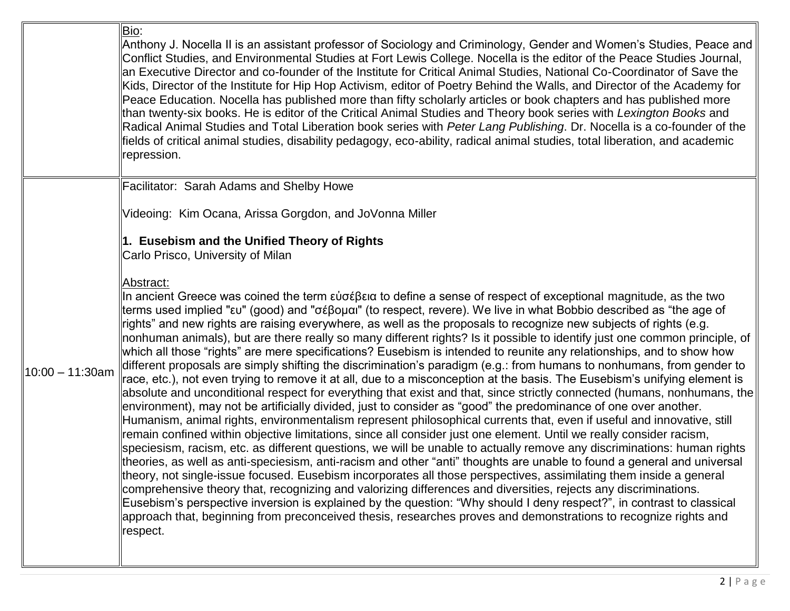|                    | Bio:<br>Anthony J. Nocella II is an assistant professor of Sociology and Criminology, Gender and Women's Studies, Peace and  <br>Conflict Studies, and Environmental Studies at Fort Lewis College. Nocella is the editor of the Peace Studies Journal,<br>an Executive Director and co-founder of the Institute for Critical Animal Studies, National Co-Coordinator of Save the<br>Kids, Director of the Institute for Hip Hop Activism, editor of Poetry Behind the Walls, and Director of the Academy for<br>Peace Education. Nocella has published more than fifty scholarly articles or book chapters and has published more<br>than twenty-six books. He is editor of the Critical Animal Studies and Theory book series with Lexington Books and<br>Radical Animal Studies and Total Liberation book series with Peter Lang Publishing. Dr. Nocella is a co-founder of the<br>fields of critical animal studies, disability pedagogy, eco-ability, radical animal studies, total liberation, and academic<br>repression.                                                                                                                                                                                                                                                                                                                                                                                                                                                                                                                                                                                                                                                                                                                                                                                                                                                  |
|--------------------|-----------------------------------------------------------------------------------------------------------------------------------------------------------------------------------------------------------------------------------------------------------------------------------------------------------------------------------------------------------------------------------------------------------------------------------------------------------------------------------------------------------------------------------------------------------------------------------------------------------------------------------------------------------------------------------------------------------------------------------------------------------------------------------------------------------------------------------------------------------------------------------------------------------------------------------------------------------------------------------------------------------------------------------------------------------------------------------------------------------------------------------------------------------------------------------------------------------------------------------------------------------------------------------------------------------------------------------------------------------------------------------------------------------------------------------------------------------------------------------------------------------------------------------------------------------------------------------------------------------------------------------------------------------------------------------------------------------------------------------------------------------------------------------------------------------------------------------------------------------------------------------|
|                    | Facilitator: Sarah Adams and Shelby Howe                                                                                                                                                                                                                                                                                                                                                                                                                                                                                                                                                                                                                                                                                                                                                                                                                                                                                                                                                                                                                                                                                                                                                                                                                                                                                                                                                                                                                                                                                                                                                                                                                                                                                                                                                                                                                                          |
|                    | Videoing: Kim Ocana, Arissa Gorgdon, and JoVonna Miller<br>$\ $ 1. Eusebism and the Unified Theory of Rights<br>Carlo Prisco, University of Milan<br><u> Abstract:</u><br>In ancient Greece was coined the term εὐσέβεια to define a sense of respect of exceptional magnitude, as the two<br>terms used implied "ευ" (good) and "σέβομαι" (to respect, revere). We live in what Bobbio described as "the age of                                                                                                                                                                                                                                                                                                                                                                                                                                                                                                                                                                                                                                                                                                                                                                                                                                                                                                                                                                                                                                                                                                                                                                                                                                                                                                                                                                                                                                                                  |
| $10:00 - 11:30$ am | ights" and new rights are raising everywhere, as well as the proposals to recognize new subjects of rights (e.g.<br>nonhuman animals), but are there really so many different rights? Is it possible to identify just one common principle, of<br>which all those "rights" are mere specifications? Eusebism is intended to reunite any relationships, and to show how<br>different proposals are simply shifting the discrimination's paradigm (e.g.: from humans to nonhumans, from gender to<br>race, etc.), not even trying to remove it at all, due to a misconception at the basis. The Eusebism's unifying element is<br>absolute and unconditional respect for everything that exist and that, since strictly connected (humans, nonhumans, the∥<br>environment), may not be artificially divided, just to consider as "good" the predominance of one over another.<br>Humanism, animal rights, environmentalism represent philosophical currents that, even if useful and innovative, still<br>emain confined within objective limitations, since all consider just one element. Until we really consider racism,<br>speciesism, racism, etc. as different questions, we will be unable to actually remove any discriminations: human rights<br>theories, as well as anti-speciesism, anti-racism and other "anti" thoughts are unable to found a general and universal<br>theory, not single-issue focused. Eusebism incorporates all those perspectives, assimilating them inside a general<br>comprehensive theory that, recognizing and valorizing differences and diversities, rejects any discriminations.<br>Eusebism's perspective inversion is explained by the question: "Why should I deny respect?", in contrast to classical<br>approach that, beginning from preconceived thesis, researches proves and demonstrations to recognize rights and<br>respect. |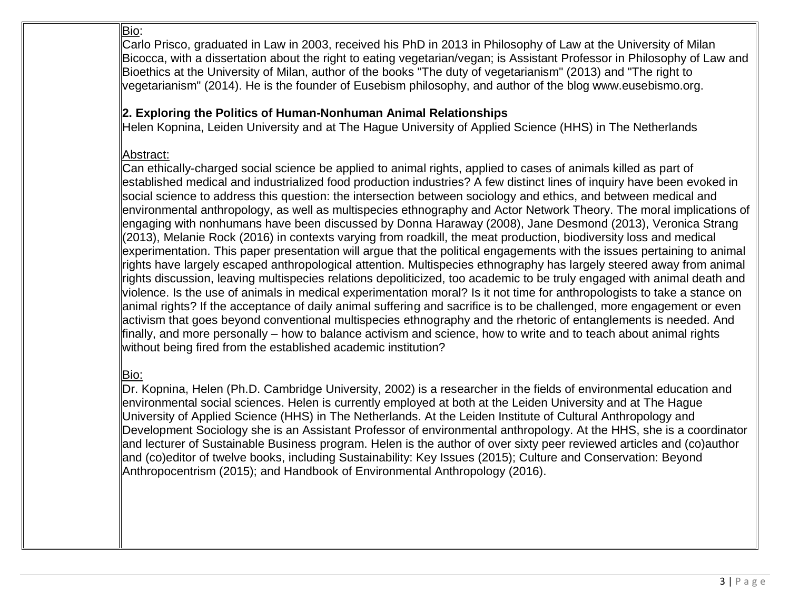## Bio:

Carlo Prisco, graduated in Law in 2003, received his PhD in 2013 in Philosophy of Law at the University of Milan Bicocca, with a dissertation about the right to eating vegetarian/vegan; is Assistant Professor in Philosophy of Law and Bioethics at the University of Milan, author of the books "The duty of vegetarianism" (2013) and "The right to vegetarianism" (2014). He is the founder of Eusebism philosophy, and author of the blog www.eusebismo.org.

## **2. Exploring the Politics of Human-Nonhuman Animal Relationships**

Helen Kopnina, Leiden University and at The Hague University of Applied Science (HHS) in The Netherlands

## Abstract:

Can ethically-charged social science be applied to animal rights, applied to cases of animals killed as part of established medical and industrialized food production industries? A few distinct lines of inquiry have been evoked in social science to address this question: the intersection between sociology and ethics, and between medical and environmental anthropology, as well as multispecies ethnography and Actor Network Theory. The moral implications of engaging with nonhumans have been discussed by [Donna Haraway \(2008\),](http://projectlamar.com/media/harrawayspecies.pdf) Jane Desmond (2013), Veronica Strang (2013), Melanie Rock (2016) in contexts varying from roadkill, the meat production, biodiversity loss and medical experimentation. This paper presentation will argue that the political engagements with the issues pertaining to animal rights have largely escaped anthropological attention. Multispecies ethnography has largely steered away from animal rights discussion, leaving multispecies relations depoliticized, too academic to be truly engaged with animal death and violence. Is the use of animals in medical experimentation moral? Is it not time for anthropologists to take a stance on animal rights? If the acceptance of daily animal suffering and sacrifice is to be challenged, more engagement or even activism that goes beyond conventional multispecies ethnography and the rhetoric of entanglements is needed. And finally, and more personally – how to balance activism and science, how to write and to teach about animal rights without being fired from the established academic institution?

# Bio:

Dr. Kopnina, Helen (Ph.D. Cambridge University, 2002) is a researcher in the fields of environmental education and environmental social sciences. Helen is currently employed at both at the Leiden University and at The Hague University of Applied Science (HHS) in The Netherlands. At the Leiden Institute of Cultural Anthropology and Development Sociology she is an Assistant Professor of environmental anthropology. At the HHS, she is a coordinator and lecturer of Sustainable Business program. Helen is the author of over sixty peer reviewed articles and (co)author and (co)editor of twelve books, including Sustainability: Key Issues (2015); Culture and Conservation: Beyond Anthropocentrism (2015); and Handbook of Environmental Anthropology (2016).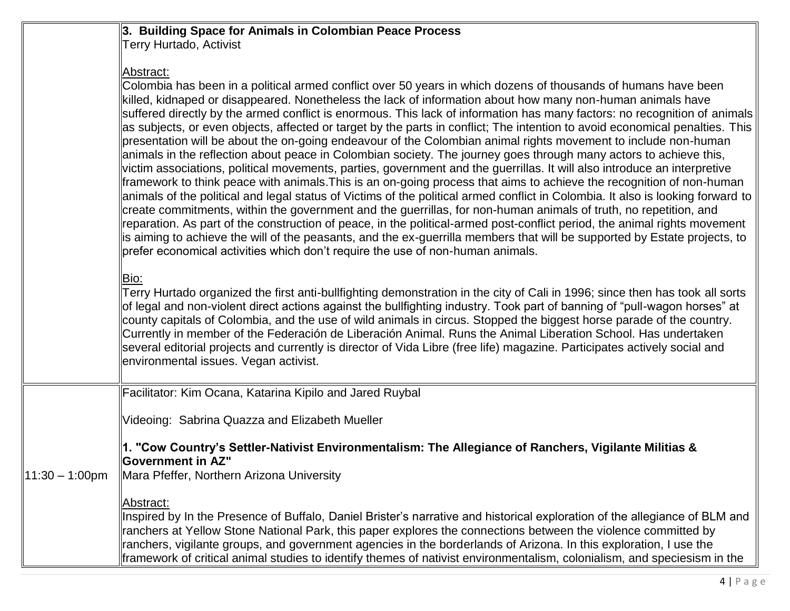### **3. Building Space for Animals in Colombian Peace Process** Terry Hurtado, Activist

# Abstract:

|                   | Colombia has been in a political armed conflict over 50 years in which dozens of thousands of humans have been<br>killed, kidnaped or disappeared. Nonetheless the lack of information about how many non-human animals have<br>suffered directly by the armed conflict is enormous. This lack of information has many factors: no recognition of animals<br>as subjects, or even objects, affected or target by the parts in conflict; The intention to avoid economical penalties. This<br>presentation will be about the on-going endeavour of the Colombian animal rights movement to include non-human<br>animals in the reflection about peace in Colombian society. The journey goes through many actors to achieve this,<br>victim associations, political movements, parties, government and the guerrillas. It will also introduce an interpretive<br>framework to think peace with animals. This is an on-going process that aims to achieve the recognition of non-human<br>animals of the political and legal status of Victims of the political armed conflict in Colombia. It also is looking forward to<br>create commitments, within the government and the guerrillas, for non-human animals of truth, no repetition, and<br>reparation. As part of the construction of peace, in the political-armed post-conflict period, the animal rights movement<br>is aiming to achieve the will of the peasants, and the ex-guerrilla members that will be supported by Estate projects, to<br>prefer economical activities which don't require the use of non-human animals. |
|-------------------|-----------------------------------------------------------------------------------------------------------------------------------------------------------------------------------------------------------------------------------------------------------------------------------------------------------------------------------------------------------------------------------------------------------------------------------------------------------------------------------------------------------------------------------------------------------------------------------------------------------------------------------------------------------------------------------------------------------------------------------------------------------------------------------------------------------------------------------------------------------------------------------------------------------------------------------------------------------------------------------------------------------------------------------------------------------------------------------------------------------------------------------------------------------------------------------------------------------------------------------------------------------------------------------------------------------------------------------------------------------------------------------------------------------------------------------------------------------------------------------------------------------------------------------------------------------------------------------------|
|                   | Bio:<br>Terry Hurtado organized the first anti-bullfighting demonstration in the city of Cali in 1996; since then has took all sorts<br>of legal and non-violent direct actions against the bullfighting industry. Took part of banning of "pull-wagon horses" at<br>county capitals of Colombia, and the use of wild animals in circus. Stopped the biggest horse parade of the country.<br>Currently in member of the Federación de Liberación Animal. Runs the Animal Liberation School. Has undertaken<br>several editorial projects and currently is director of Vida Libre (free life) magazine. Participates actively social and<br>environmental issues. Vegan activist.                                                                                                                                                                                                                                                                                                                                                                                                                                                                                                                                                                                                                                                                                                                                                                                                                                                                                                        |
|                   | Facilitator: Kim Ocana, Katarina Kipilo and Jared Ruybal                                                                                                                                                                                                                                                                                                                                                                                                                                                                                                                                                                                                                                                                                                                                                                                                                                                                                                                                                                                                                                                                                                                                                                                                                                                                                                                                                                                                                                                                                                                                |
|                   | Videoing: Sabrina Quazza and Elizabeth Mueller                                                                                                                                                                                                                                                                                                                                                                                                                                                                                                                                                                                                                                                                                                                                                                                                                                                                                                                                                                                                                                                                                                                                                                                                                                                                                                                                                                                                                                                                                                                                          |
| $11:30 - 1:00$ pm | 1. "Cow Country's Settler-Nativist Environmentalism: The Allegiance of Ranchers, Vigilante Militias &<br><b>Bovernment in AZ"</b><br>Mara Pfeffer, Northern Arizona University                                                                                                                                                                                                                                                                                                                                                                                                                                                                                                                                                                                                                                                                                                                                                                                                                                                                                                                                                                                                                                                                                                                                                                                                                                                                                                                                                                                                          |
|                   | Abstract:<br>Inspired by In the Presence of Buffalo, Daniel Brister's narrative and historical exploration of the allegiance of BLM and<br>ranchers at Yellow Stone National Park, this paper explores the connections between the violence committed by<br>ranchers, vigilante groups, and government agencies in the borderlands of Arizona. In this exploration, I use the<br>framework of critical animal studies to identify themes of nativist environmentalism, colonialism, and speciesism in the                                                                                                                                                                                                                                                                                                                                                                                                                                                                                                                                                                                                                                                                                                                                                                                                                                                                                                                                                                                                                                                                               |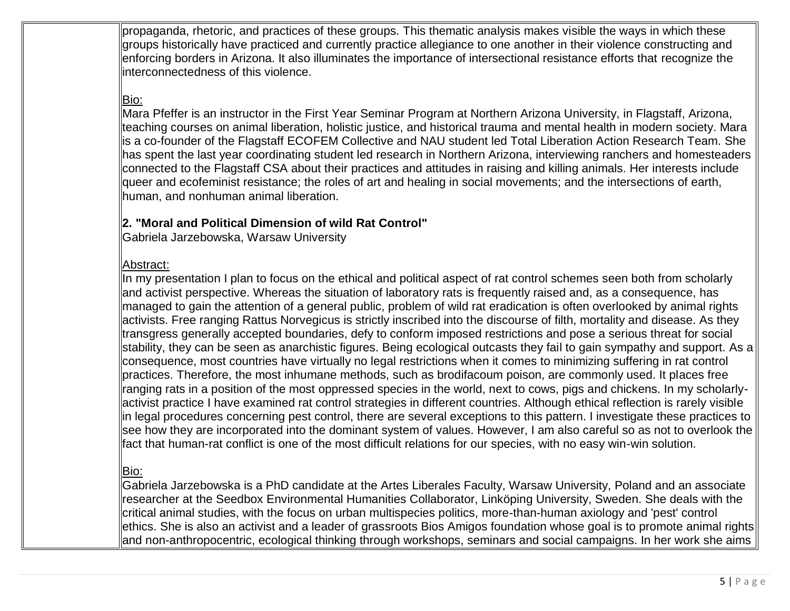propaganda, rhetoric, and practices of these groups. This thematic analysis makes visible the ways in which these groups historically have practiced and currently practice allegiance to one another in their violence constructing and enforcing borders in Arizona. It also illuminates the importance of intersectional resistance efforts that recognize the interconnectedness of this violence.

## Bio:

Mara Pfeffer is an instructor in the First Year Seminar Program at Northern Arizona University, in Flagstaff, Arizona, teaching courses on animal liberation, holistic justice, and historical trauma and mental health in modern society. Mara is a co-founder of the Flagstaff ECOFEM Collective and NAU student led Total Liberation Action Research Team. She has spent the last year coordinating student led research in Northern Arizona, interviewing ranchers and homesteaders connected to the Flagstaff CSA about their practices and attitudes in raising and killing animals. Her interests include queer and ecofeminist resistance; the roles of art and healing in social movements; and the intersections of earth, human, and nonhuman animal liberation.

### **2. "Moral and Political Dimension of wild Rat Control"**

Gabriela Jarzebowska, Warsaw University

### Abstract:

In my presentation I plan to focus on the ethical and political aspect of rat control schemes seen both from scholarly and activist perspective. Whereas the situation of laboratory rats is frequently raised and, as a consequence, has managed to gain the attention of a general public, problem of wild rat eradication is often overlooked by animal rights activists. Free ranging Rattus Norvegicus is strictly inscribed into the discourse of filth, mortality and disease. As they transgress generally accepted boundaries, defy to conform imposed restrictions and pose a serious threat for social stability, they can be seen as anarchistic figures. Being ecological outcasts they fail to gain sympathy and support. As a consequence, most countries have virtually no legal restrictions when it comes to minimizing suffering in rat control practices. Therefore, the most inhumane methods, such as brodifacoum poison, are commonly used. It places free ranging rats in a position of the most oppressed species in the world, next to cows, pigs and chickens. In my scholarlyactivist practice I have examined rat control strategies in different countries. Although ethical reflection is rarely visible in legal procedures concerning pest control, there are several exceptions to this pattern. I investigate these practices to see how they are incorporated into the dominant system of values. However, I am also careful so as not to overlook the fact that human-rat conflict is one of the most difficult relations for our species, with no easy win-win solution.

## Bio:

Gabriela Jarzebowska is a PhD candidate at the Artes Liberales Faculty, Warsaw University, Poland and an associate researcher at the Seedbox Environmental Humanities Collaborator, Linköping University, Sweden. She deals with the critical animal studies, with the focus on urban multispecies politics, more-than-human axiology and 'pest' control ethics. She is also an activist and a leader of grassroots Bios Amigos foundation whose goal is to promote animal rights and non-anthropocentric, ecological thinking through workshops, seminars and social campaigns. In her work she aims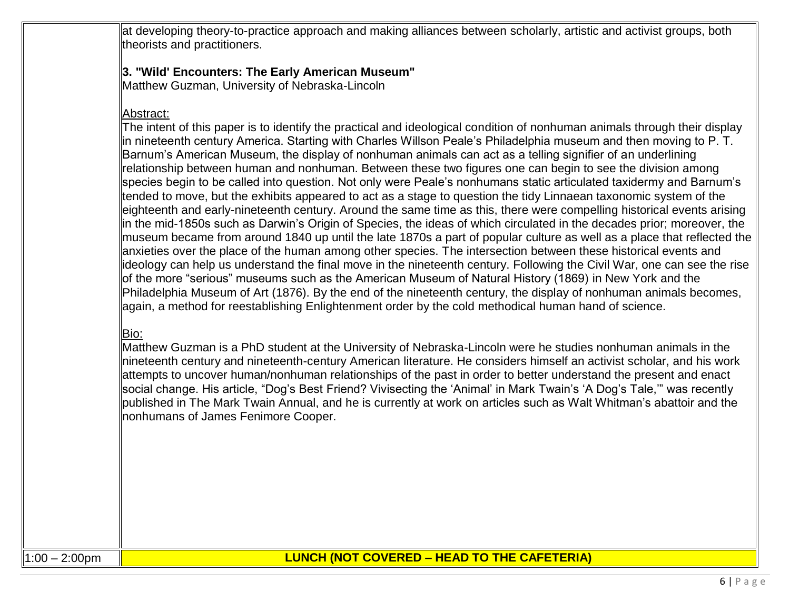at developing theory-to-practice approach and making alliances between scholarly, artistic and activist groups, both theorists and practitioners.

### **3. "Wild' Encounters: The Early American Museum"**

Matthew Guzman, University of Nebraska-Lincoln

## Abstract:

The intent of this paper is to identify the practical and ideological condition of nonhuman animals through their display in nineteenth century America. Starting with Charles Willson Peale's Philadelphia museum and then moving to P. T. Barnum's American Museum, the display of nonhuman animals can act as a telling signifier of an underlining relationship between human and nonhuman. Between these two figures one can begin to see the division among species begin to be called into question. Not only were Peale's nonhumans static articulated taxidermy and Barnum's tended to move, but the exhibits appeared to act as a stage to question the tidy Linnaean taxonomic system of the eighteenth and early-nineteenth century. Around the same time as this, there were compelling historical events arising in the mid-1850s such as Darwin's Origin of Species, the ideas of which circulated in the decades prior; moreover, the museum became from around 1840 up until the late 1870s a part of popular culture as well as a place that reflected the anxieties over the place of the human among other species. The intersection between these historical events and ideology can help us understand the final move in the nineteenth century. Following the Civil War, one can see the rise of the more "serious" museums such as the American Museum of Natural History (1869) in New York and the Philadelphia Museum of Art (1876). By the end of the nineteenth century, the display of nonhuman animals becomes, again, a method for reestablishing Enlightenment order by the cold methodical human hand of science.

## Bio:

Matthew Guzman is a PhD student at the University of Nebraska-Lincoln were he studies nonhuman animals in the nineteenth century and nineteenth-century American literature. He considers himself an activist scholar, and his work attempts to uncover human/nonhuman relationships of the past in order to better understand the present and enact social change. His article, "Dog's Best Friend? Vivisecting the 'Animal' in Mark Twain's 'A Dog's Tale,'" was recently published in The Mark Twain Annual, and he is currently at work on articles such as Walt Whitman's abattoir and the nonhumans of James Fenimore Cooper.

# 1:00 – 2:00pm **LUNCH (NOT COVERED – HEAD TO THE CAFETERIA)**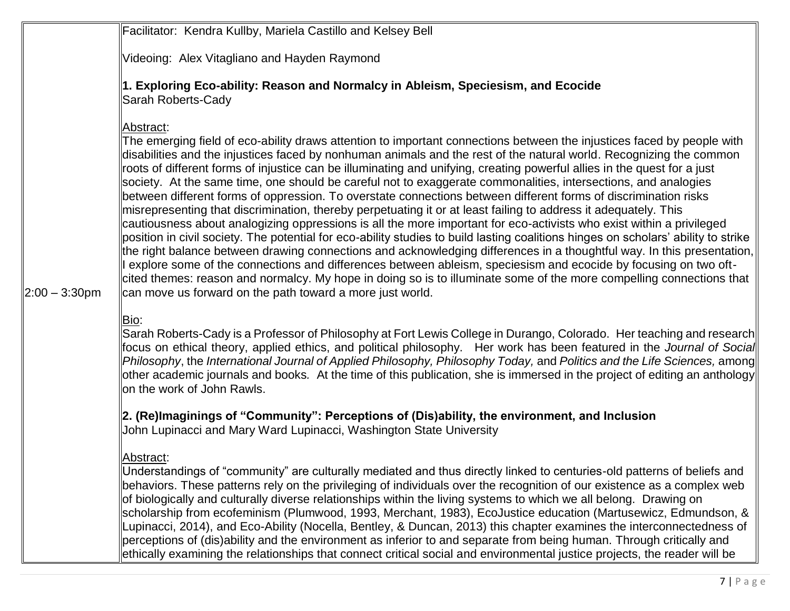|                  | Facilitator: Kendra Kullby, Mariela Castillo and Kelsey Bell                                                                                                                                                                                                                                                                                                                                                                                                                                                                                                                                                                                                                                                                                                                                                                                                                                                                                                                                                                                                                                                                                                                                                                                                                                                                                                                                                                                     |
|------------------|--------------------------------------------------------------------------------------------------------------------------------------------------------------------------------------------------------------------------------------------------------------------------------------------------------------------------------------------------------------------------------------------------------------------------------------------------------------------------------------------------------------------------------------------------------------------------------------------------------------------------------------------------------------------------------------------------------------------------------------------------------------------------------------------------------------------------------------------------------------------------------------------------------------------------------------------------------------------------------------------------------------------------------------------------------------------------------------------------------------------------------------------------------------------------------------------------------------------------------------------------------------------------------------------------------------------------------------------------------------------------------------------------------------------------------------------------|
|                  | Videoing: Alex Vitagliano and Hayden Raymond                                                                                                                                                                                                                                                                                                                                                                                                                                                                                                                                                                                                                                                                                                                                                                                                                                                                                                                                                                                                                                                                                                                                                                                                                                                                                                                                                                                                     |
|                  | 1. Exploring Eco-ability: Reason and Normalcy in Ableism, Speciesism, and Ecocide<br>Sarah Roberts-Cady                                                                                                                                                                                                                                                                                                                                                                                                                                                                                                                                                                                                                                                                                                                                                                                                                                                                                                                                                                                                                                                                                                                                                                                                                                                                                                                                          |
| $2:00 - 3:30$ pm | Abstract:<br>The emerging field of eco-ability draws attention to important connections between the injustices faced by people with<br>disabilities and the injustices faced by nonhuman animals and the rest of the natural world. Recognizing the common<br>roots of different forms of injustice can be illuminating and unifying, creating powerful allies in the quest for a just<br>society. At the same time, one should be careful not to exaggerate commonalities, intersections, and analogies<br>between different forms of oppression. To overstate connections between different forms of discrimination risks<br>misrepresenting that discrimination, thereby perpetuating it or at least failing to address it adequately. This<br>cautiousness about analogizing oppressions is all the more important for eco-activists who exist within a privileged<br>position in civil society. The potential for eco-ability studies to build lasting coalitions hinges on scholars' ability to strike<br>the right balance between drawing connections and acknowledging differences in a thoughtful way. In this presentation,<br>I explore some of the connections and differences between ableism, speciesism and ecocide by focusing on two oft-<br>cited themes: reason and normalcy. My hope in doing so is to illuminate some of the more compelling connections that<br>can move us forward on the path toward a more just world. |
|                  | Bio:<br>Sarah Roberts-Cady is a Professor of Philosophy at Fort Lewis College in Durango, Colorado. Her teaching and research<br>focus on ethical theory, applied ethics, and political philosophy. Her work has been featured in the Journal of Social<br>Philosophy, the International Journal of Applied Philosophy, Philosophy Today, and Politics and the Life Sciences, among<br>other academic journals and books. At the time of this publication, she is immersed in the project of editing an anthology<br>on the work of John Rawls.                                                                                                                                                                                                                                                                                                                                                                                                                                                                                                                                                                                                                                                                                                                                                                                                                                                                                                  |
|                  | $\ $ 2. (Re)Imaginings of "Community": Perceptions of (Dis)ability, the environment, and Inclusion<br>John Lupinacci and Mary Ward Lupinacci, Washington State University                                                                                                                                                                                                                                                                                                                                                                                                                                                                                                                                                                                                                                                                                                                                                                                                                                                                                                                                                                                                                                                                                                                                                                                                                                                                        |
|                  | Abstract:<br>Understandings of "community" are culturally mediated and thus directly linked to centuries-old patterns of beliefs and<br>behaviors. These patterns rely on the privileging of individuals over the recognition of our existence as a complex web<br>of biologically and culturally diverse relationships within the living systems to which we all belong. Drawing on<br>scholarship from ecofeminism (Plumwood, 1993, Merchant, 1983), EcoJustice education (Martusewicz, Edmundson, &<br>Lupinacci, 2014), and Eco-Ability (Nocella, Bentley, & Duncan, 2013) this chapter examines the interconnectedness of<br>perceptions of (dis)ability and the environment as inferior to and separate from being human. Through critically and<br>ethically examining the relationships that connect critical social and environmental justice projects, the reader will be                                                                                                                                                                                                                                                                                                                                                                                                                                                                                                                                                              |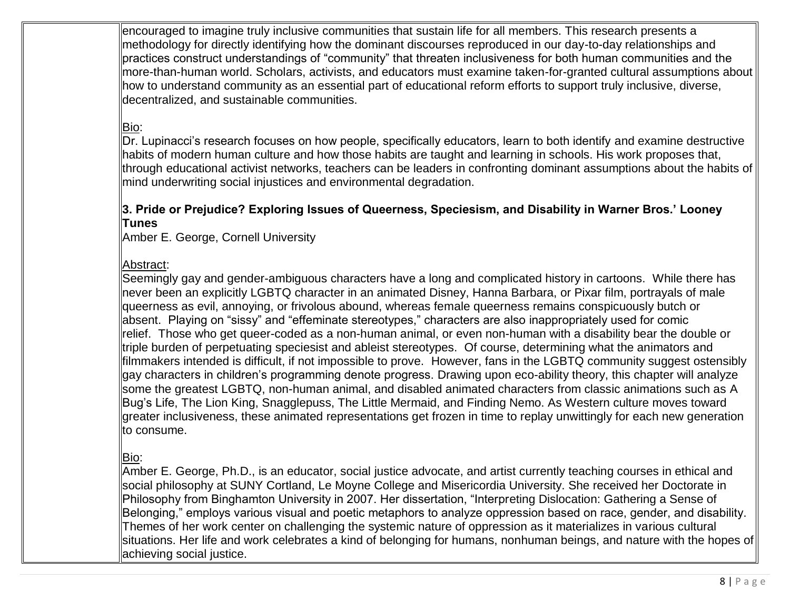encouraged to imagine truly inclusive communities that sustain life for all members. This research presents a methodology for directly identifying how the dominant discourses reproduced in our day-to-day relationships and practices construct understandings of "community" that threaten inclusiveness for both human communities and the more-than-human world. Scholars, activists, and educators must examine taken-for-granted cultural assumptions about how to understand community as an essential part of educational reform efforts to support truly inclusive, diverse, decentralized, and sustainable communities.

# Bio:

Dr. Lupinacci's research focuses on how people, specifically educators, learn to both identify and examine destructive habits of modern human culture and how those habits are taught and learning in schools. His work proposes that, through educational activist networks, teachers can be leaders in confronting dominant assumptions about the habits of mind underwriting social injustices and environmental degradation.

### **3. Pride or Prejudice? Exploring Issues of Queerness, Speciesism, and Disability in Warner Bros.' Looney Tunes**

Amber E. George, Cornell University

### Abstract:

Seemingly gay and gender-ambiguous characters have a long and complicated history in cartoons. While there has never been an explicitly LGBTQ character in an animated Disney, Hanna Barbara, or Pixar film, portrayals of male queerness as evil, annoying, or frivolous abound, whereas female queerness remains conspicuously butch or absent. Playing on "sissy" and "effeminate stereotypes," characters are also inappropriately used for comic relief. Those who get queer-coded as a non-human animal, or even non-human with a disability bear the double or triple burden of perpetuating speciesist and ableist stereotypes. Of course, determining what the animators and filmmakers intended is difficult, if not impossible to prove. However, fans in the LGBTQ community suggest ostensibly gay characters in children's programming denote progress. Drawing upon eco-ability theory, this chapter will analyze some the greatest LGBTQ, non-human animal, and disabled animated characters from classic animations such as A Bug's Life, The Lion King, Snagglepuss, The Little Mermaid, and Finding Nemo. As Western culture moves toward greater inclusiveness, these animated representations get frozen in time to replay unwittingly for each new generation to consume.

## Bio:

Amber E. George, Ph.D., is an educator, social justice advocate, and artist currently teaching courses in ethical and social philosophy at SUNY Cortland, Le Moyne College and Misericordia University. She received her Doctorate in Philosophy from Binghamton University in 2007. Her dissertation, "Interpreting Dislocation: Gathering a Sense of Belonging," employs various visual and poetic metaphors to analyze oppression based on race, gender, and disability. Themes of her work center on challenging the systemic nature of oppression as it materializes in various cultural situations. Her life and work celebrates a kind of belonging for humans, nonhuman beings, and nature with the hopes of achieving social justice.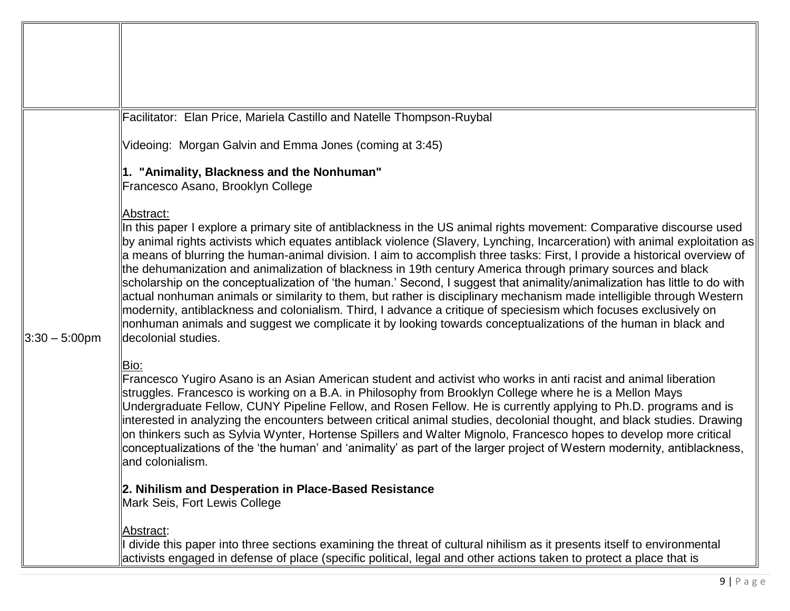|                                 | Facilitator: Elan Price, Mariela Castillo and Natelle Thompson-Ruybal                                                                                                                                                                                                                                                                                                                                                                                                                                                                                                                                                                                                                                                                                                                                                                                                                                                                                                                       |
|---------------------------------|---------------------------------------------------------------------------------------------------------------------------------------------------------------------------------------------------------------------------------------------------------------------------------------------------------------------------------------------------------------------------------------------------------------------------------------------------------------------------------------------------------------------------------------------------------------------------------------------------------------------------------------------------------------------------------------------------------------------------------------------------------------------------------------------------------------------------------------------------------------------------------------------------------------------------------------------------------------------------------------------|
|                                 | Videoing: Morgan Galvin and Emma Jones (coming at 3:45)                                                                                                                                                                                                                                                                                                                                                                                                                                                                                                                                                                                                                                                                                                                                                                                                                                                                                                                                     |
|                                 | 1. "Animality, Blackness and the Nonhuman"                                                                                                                                                                                                                                                                                                                                                                                                                                                                                                                                                                                                                                                                                                                                                                                                                                                                                                                                                  |
|                                 | Francesco Asano, Brooklyn College                                                                                                                                                                                                                                                                                                                                                                                                                                                                                                                                                                                                                                                                                                                                                                                                                                                                                                                                                           |
|                                 | Abstract:                                                                                                                                                                                                                                                                                                                                                                                                                                                                                                                                                                                                                                                                                                                                                                                                                                                                                                                                                                                   |
|                                 | In this paper I explore a primary site of antiblackness in the US animal rights movement: Comparative discourse used<br>∥by animal rights activists which equates antiblack violence (Slavery, Lynching, Incarceration) with animal exploitation as∥<br>a means of blurring the human-animal division. I aim to accomplish three tasks: First, I provide a historical overview of<br>the dehumanization and animalization of blackness in 19th century America through primary sources and black<br>scholarship on the conceptualization of 'the human.' Second, I suggest that animality/animalization has little to do with<br>actual nonhuman animals or similarity to them, but rather is disciplinary mechanism made intelligible through Western<br>modernity, antiblackness and colonialism. Third, I advance a critique of speciesism which focuses exclusively on<br>nonhuman animals and suggest we complicate it by looking towards conceptualizations of the human in black and |
| $\parallel 3:30-5:00 \text{pm}$ | decolonial studies.                                                                                                                                                                                                                                                                                                                                                                                                                                                                                                                                                                                                                                                                                                                                                                                                                                                                                                                                                                         |
|                                 | Bio:<br>Francesco Yugiro Asano is an Asian American student and activist who works in anti racist and animal liberation<br>struggles. Francesco is working on a B.A. in Philosophy from Brooklyn College where he is a Mellon Mays<br>Undergraduate Fellow, CUNY Pipeline Fellow, and Rosen Fellow. He is currently applying to Ph.D. programs and is<br>interested in analyzing the encounters between critical animal studies, decolonial thought, and black studies. Drawing<br>on thinkers such as Sylvia Wynter, Hortense Spillers and Walter Mignolo, Francesco hopes to develop more critical<br>conceptualizations of the 'the human' and 'animality' as part of the larger project of Western modernity, antiblackness,<br>and colonialism.                                                                                                                                                                                                                                        |
|                                 | 2. Nihilism and Desperation in Place-Based Resistance<br>Mark Seis, Fort Lewis College                                                                                                                                                                                                                                                                                                                                                                                                                                                                                                                                                                                                                                                                                                                                                                                                                                                                                                      |
|                                 | Abstract:<br>divide this paper into three sections examining the threat of cultural nihilism as it presents itself to environmental<br>activists engaged in defense of place (specific political, legal and other actions taken to protect a place that is                                                                                                                                                                                                                                                                                                                                                                                                                                                                                                                                                                                                                                                                                                                                  |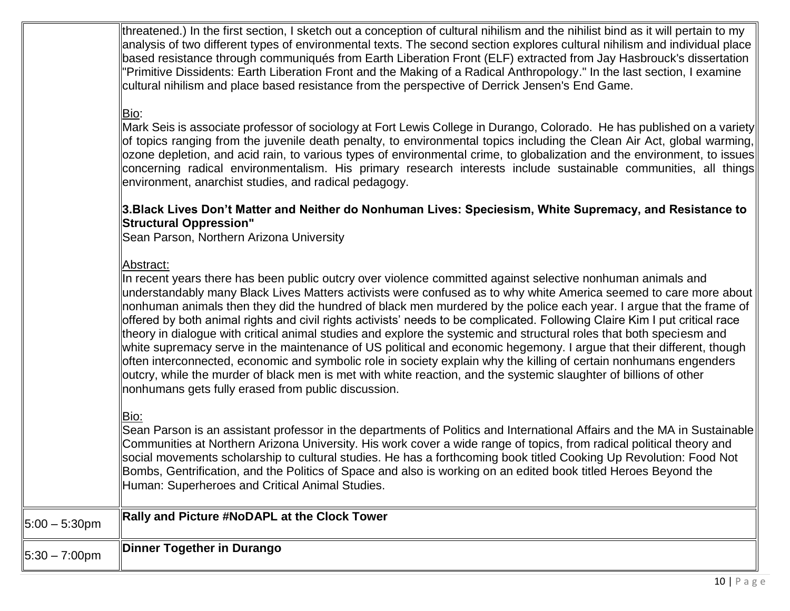threatened.) In the first section, I sketch out a conception of cultural nihilism and the nihilist bind as it will pertain to my analysis of two different types of environmental texts. The second section explores cultural nihilism and individual place based resistance through communiqués from Earth Liberation Front (ELF) extracted from Jay Hasbrouck's dissertation "Primitive Dissidents: Earth Liberation Front and the Making of a Radical Anthropology." In the last section, I examine cultural nihilism and place based resistance from the perspective of Derrick Jensen's End Game.

# Bio:

Mark Seis is associate professor of sociology at Fort Lewis College in Durango, Colorado. He has published on a variety of topics ranging from the juvenile death penalty, to environmental topics including the Clean Air Act, global warming, ozone depletion, and acid rain, to various types of environmental crime, to globalization and the environment, to issues concerning radical environmentalism. His primary research interests include sustainable communities, all things environment, anarchist studies, and radical pedagogy.

#### **3.Black Lives Don't Matter and Neither do Nonhuman Lives: Speciesism, White Supremacy, and Resistance to Structural Oppression"**

Sean Parson, Northern Arizona University

#### Abstract:

In recent years there has been public outcry over violence committed against selective nonhuman animals and understandably many Black Lives Matters activists were confused as to why white America seemed to care more about nonhuman animals then they did the hundred of black men murdered by the police each year. I argue that the frame of offered by both animal rights and civil rights activists' needs to be complicated. Following Claire Kim I put critical race theory in dialogue with critical animal studies and explore the systemic and structural roles that both speciesm and white supremacy serve in the maintenance of US political and economic hegemony. I argue that their different, though often interconnected, economic and symbolic role in society explain why the killing of certain nonhumans engenders outcry, while the murder of black men is met with white reaction, and the systemic slaughter of billions of other nonhumans gets fully erased from public discussion.

#### Bio:

Sean Parson is an assistant professor in the departments of Politics and International Affairs and the MA in Sustainable Communities at Northern Arizona University. His work cover a wide range of topics, from radical political theory and social movements scholarship to cultural studies. He has a forthcoming book titled Cooking Up Revolution: Food Not Bombs, Gentrification, and the Politics of Space and also is working on an edited book titled Heroes Beyond the Human: Superheroes and Critical Animal Studies.

| $5:00 - 5:30$ pm        | Rally and Picture #NoDAPL at the Clock Tower |
|-------------------------|----------------------------------------------|
| $5:30 - 7:00 \text{pm}$ | Dinner Together in Durango                   |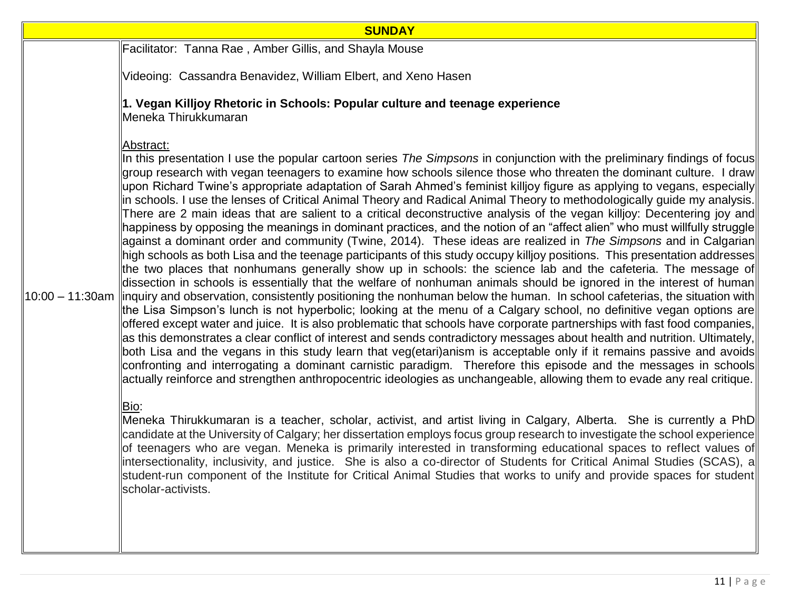| <b>SUNDAY</b>                                                                                                                                                                                                                                                                                                                                                                                                                                                                                                                                                                                                                                                                                                                                                                                                                                                                                                                                                                                                                                                                                                                                                                                                                                                                                                                                                                                                                                                                                                                                                                                                                                                                                                                                                                                                                                                                                                                                                                                                                                                                                                                                                                                                                                                                                                                                                                                                                                                                                                                                                                                                                                                                                                                                                                                                             |  |
|---------------------------------------------------------------------------------------------------------------------------------------------------------------------------------------------------------------------------------------------------------------------------------------------------------------------------------------------------------------------------------------------------------------------------------------------------------------------------------------------------------------------------------------------------------------------------------------------------------------------------------------------------------------------------------------------------------------------------------------------------------------------------------------------------------------------------------------------------------------------------------------------------------------------------------------------------------------------------------------------------------------------------------------------------------------------------------------------------------------------------------------------------------------------------------------------------------------------------------------------------------------------------------------------------------------------------------------------------------------------------------------------------------------------------------------------------------------------------------------------------------------------------------------------------------------------------------------------------------------------------------------------------------------------------------------------------------------------------------------------------------------------------------------------------------------------------------------------------------------------------------------------------------------------------------------------------------------------------------------------------------------------------------------------------------------------------------------------------------------------------------------------------------------------------------------------------------------------------------------------------------------------------------------------------------------------------------------------------------------------------------------------------------------------------------------------------------------------------------------------------------------------------------------------------------------------------------------------------------------------------------------------------------------------------------------------------------------------------------------------------------------------------------------------------------------------------|--|
| Facilitator: Tanna Rae, Amber Gillis, and Shayla Mouse                                                                                                                                                                                                                                                                                                                                                                                                                                                                                                                                                                                                                                                                                                                                                                                                                                                                                                                                                                                                                                                                                                                                                                                                                                                                                                                                                                                                                                                                                                                                                                                                                                                                                                                                                                                                                                                                                                                                                                                                                                                                                                                                                                                                                                                                                                                                                                                                                                                                                                                                                                                                                                                                                                                                                                    |  |
| Videoing: Cassandra Benavidez, William Elbert, and Xeno Hasen                                                                                                                                                                                                                                                                                                                                                                                                                                                                                                                                                                                                                                                                                                                                                                                                                                                                                                                                                                                                                                                                                                                                                                                                                                                                                                                                                                                                                                                                                                                                                                                                                                                                                                                                                                                                                                                                                                                                                                                                                                                                                                                                                                                                                                                                                                                                                                                                                                                                                                                                                                                                                                                                                                                                                             |  |
| 1. Vegan Killjoy Rhetoric in Schools: Popular culture and teenage experience<br>Meneka Thirukkumaran                                                                                                                                                                                                                                                                                                                                                                                                                                                                                                                                                                                                                                                                                                                                                                                                                                                                                                                                                                                                                                                                                                                                                                                                                                                                                                                                                                                                                                                                                                                                                                                                                                                                                                                                                                                                                                                                                                                                                                                                                                                                                                                                                                                                                                                                                                                                                                                                                                                                                                                                                                                                                                                                                                                      |  |
| Abstract:<br>In this presentation I use the popular cartoon series The Simpsons in conjunction with the preliminary findings of focus<br>group research with vegan teenagers to examine how schools silence those who threaten the dominant culture. I draw<br> upon Richard Twine's appropriate adaptation of Sarah Ahmed's feminist killjoy figure as applying to vegans, especially  <br>in schools. I use the lenses of Critical Animal Theory and Radical Animal Theory to methodologically guide my analysis.<br>There are 2 main ideas that are salient to a critical deconstructive analysis of the vegan killjoy: Decentering joy and<br>happiness by opposing the meanings in dominant practices, and the notion of an "affect alien" who must willfully struggle∥<br>against a dominant order and community (Twine, 2014). These ideas are realized in The Simpsons and in Calgarian<br>high schools as both Lisa and the teenage participants of this study occupy killioy positions. This presentation addresses<br>the two places that nonhumans generally show up in schools: the science lab and the cafeteria. The message of<br>dissection in schools is essentially that the welfare of nonhuman animals should be ignored in the interest of human<br>10:00 – 11:30am   inquiry and observation, consistently positioning the nonhuman below the human. In school cafeterias, the situation with<br>the Lisa Simpson's lunch is not hyperbolic; looking at the menu of a Calgary school, no definitive vegan options are<br>offered except water and juice. It is also problematic that schools have corporate partnerships with fast food companies,<br>as this demonstrates a clear conflict of interest and sends contradictory messages about health and nutrition. Ultimately,<br>both Lisa and the vegans in this study learn that veg(etari)anism is acceptable only if it remains passive and avoids<br>confronting and interrogating a dominant carnistic paradigm. Therefore this episode and the messages in schools<br>actually reinforce and strengthen anthropocentric ideologies as unchangeable, allowing them to evade any real critique.<br>Bio:<br>Meneka Thirukkumaran is a teacher, scholar, activist, and artist living in Calgary, Alberta. She is currently a PhD<br>candidate at the University of Calgary; her dissertation employs focus group research to investigate the school experience<br>of teenagers who are vegan. Meneka is primarily interested in transforming educational spaces to reflect values of<br>lintersectionality, inclusivity, and justice. She is also a co-director of Students for Critical Animal Studies (SCAS), all<br>student-run component of the Institute for Critical Animal Studies that works to unify and provide spaces for student |  |
| scholar-activists.                                                                                                                                                                                                                                                                                                                                                                                                                                                                                                                                                                                                                                                                                                                                                                                                                                                                                                                                                                                                                                                                                                                                                                                                                                                                                                                                                                                                                                                                                                                                                                                                                                                                                                                                                                                                                                                                                                                                                                                                                                                                                                                                                                                                                                                                                                                                                                                                                                                                                                                                                                                                                                                                                                                                                                                                        |  |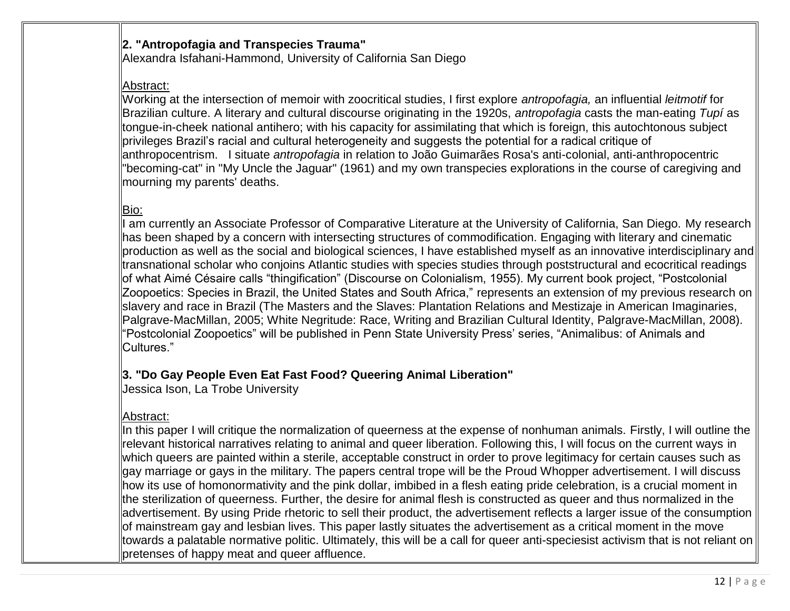### **2. "Antropofagia and Transpecies Trauma"**

Alexandra Isfahani-Hammond, University of California San Diego

## Abstract:

Working at the intersection of memoir with zoocritical studies, I first explore *antropofagia,* an influential *leitmotif* for Brazilian culture. A literary and cultural discourse originating in the 1920s, *antropofagia* casts the man-eating *Tupí* as tongue-in-cheek national antihero; with his capacity for assimilating that which is foreign, this autochtonous subject privileges Brazil's racial and cultural heterogeneity and suggests the potential for a radical critique of anthropocentrism. I situate *antropofagia* in relation to João Guimarães Rosa's anti-colonial, anti-anthropocentric "becoming-cat" in "My Uncle the Jaguar" (1961) and my own transpecies explorations in the course of caregiving and mourning my parents' deaths.

# Bio:

am currently an Associate Professor of Comparative Literature at the University of California, San Diego. My research has been shaped by a concern with intersecting structures of commodification. Engaging with literary and cinematic production as well as the social and biological sciences, I have established myself as an innovative interdisciplinary and transnational scholar who conjoins Atlantic studies with species studies through poststructural and ecocritical readings of what Aimé Césaire calls "thingification" (Discourse on Colonialism, 1955). My current book project, "Postcolonial Zoopoetics: Species in Brazil, the United States and South Africa," represents an extension of my previous research on slavery and race in Brazil (The Masters and the Slaves: Plantation Relations and Mestizaje in American Imaginaries, Palgrave-MacMillan, 2005; White Negritude: Race, Writing and Brazilian Cultural Identity, Palgrave-MacMillan, 2008). "Postcolonial Zoopoetics" will be published in Penn State University Press' series, "Animalibus: of Animals and Cultures."

## **3. "Do Gay People Even Eat Fast Food? Queering Animal Liberation"**

Jessica Ison, La Trobe University

## Abstract:

In this paper I will critique the normalization of queerness at the expense of nonhuman animals. Firstly, I will outline the relevant historical narratives relating to animal and queer liberation. Following this, I will focus on the current ways in which queers are painted within a sterile, acceptable construct in order to prove legitimacy for certain causes such as gay marriage or gays in the military. The papers central trope will be the Proud Whopper advertisement. I will discuss how its use of homonormativity and the pink dollar, imbibed in a flesh eating pride celebration, is a crucial moment in the sterilization of queerness. Further, the desire for animal flesh is constructed as queer and thus normalized in the advertisement. By using Pride rhetoric to sell their product, the advertisement reflects a larger issue of the consumption of mainstream gay and lesbian lives. This paper lastly situates the advertisement as a critical moment in the move towards a palatable normative politic. Ultimately, this will be a call for queer anti-speciesist activism that is not reliant on pretenses of happy meat and queer affluence.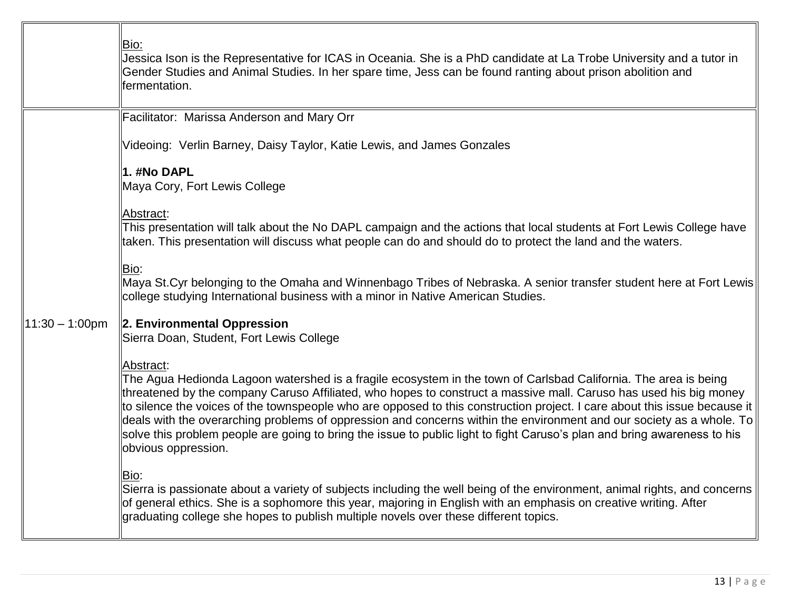|                   | Bio:<br>Jessica Ison is the Representative for ICAS in Oceania. She is a PhD candidate at La Trobe University and a tutor in<br>Gender Studies and Animal Studies. In her spare time, Jess can be found ranting about prison abolition and<br>fermentation.                                                                                                                                                                                                                                                                                                                                                                                               |
|-------------------|-----------------------------------------------------------------------------------------------------------------------------------------------------------------------------------------------------------------------------------------------------------------------------------------------------------------------------------------------------------------------------------------------------------------------------------------------------------------------------------------------------------------------------------------------------------------------------------------------------------------------------------------------------------|
|                   | Facilitator: Marissa Anderson and Mary Orr                                                                                                                                                                                                                                                                                                                                                                                                                                                                                                                                                                                                                |
|                   | Videoing: Verlin Barney, Daisy Taylor, Katie Lewis, and James Gonzales                                                                                                                                                                                                                                                                                                                                                                                                                                                                                                                                                                                    |
|                   | 1. #No DAPL<br>Maya Cory, Fort Lewis College                                                                                                                                                                                                                                                                                                                                                                                                                                                                                                                                                                                                              |
|                   | Abstract:<br>This presentation will talk about the No DAPL campaign and the actions that local students at Fort Lewis College have<br>taken. This presentation will discuss what people can do and should do to protect the land and the waters.                                                                                                                                                                                                                                                                                                                                                                                                          |
| $11:30 - 1:00$ pm | Bio:<br>Maya St.Cyr belonging to the Omaha and Winnenbago Tribes of Nebraska. A senior transfer student here at Fort Lewis<br>college studying International business with a minor in Native American Studies.                                                                                                                                                                                                                                                                                                                                                                                                                                            |
|                   | 2. Environmental Oppression<br>Sierra Doan, Student, Fort Lewis College                                                                                                                                                                                                                                                                                                                                                                                                                                                                                                                                                                                   |
|                   | Abstract:<br>The Agua Hedionda Lagoon watershed is a fragile ecosystem in the town of Carlsbad California. The area is being<br>threatened by the company Caruso Affiliated, who hopes to construct a massive mall. Caruso has used his big money<br>to silence the voices of the townspeople who are opposed to this construction project. I care about this issue because it<br>deals with the overarching problems of oppression and concerns within the environment and our society as a whole. To<br>solve this problem people are going to bring the issue to public light to fight Caruso's plan and bring awareness to his<br>obvious oppression. |
|                   | Bio:<br>Sierra is passionate about a variety of subjects including the well being of the environment, animal rights, and concerns<br>of general ethics. She is a sophomore this year, majoring in English with an emphasis on creative writing. After<br>graduating college she hopes to publish multiple novels over these different topics.                                                                                                                                                                                                                                                                                                             |